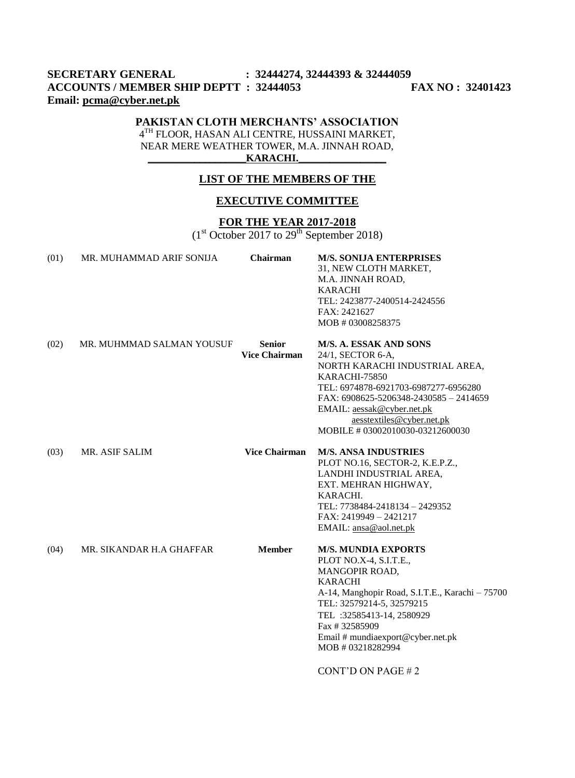# **SECRETARY GENERAL : 32444274, 32444393 & 32444059 ACCOUNTS / MEMBER SHIP DEPTT : 32444053 FAX NO : 32401423 Email: [pcma@cyber.net.pk](mailto:pcma@cyber.net.pk)**

## **PAKISTAN CLOTH MERCHANTS' ASSOCIATION**

4<sup>TH</sup> FLOOR, HASAN ALI CENTRE, HUSSAINI MARKET, NEAR MERE WEATHER TOWER, M.A. JINNAH ROAD,  $KARACHI.$ 

#### **LIST OF THE MEMBERS OF THE**

## **EXECUTIVE COMMITTEE**

## **FOR THE YEAR 2017-2018**

 $(1<sup>st</sup> October 2017 to 29<sup>th</sup> September 2018)$ 

| (01) | MR. MUHAMMAD ARIF SONIJA  | <b>Chairman</b>                       | <b>M/S. SONIJA ENTERPRISES</b><br>31, NEW CLOTH MARKET,<br>M.A. JINNAH ROAD,<br><b>KARACHI</b><br>TEL: 2423877-2400514-2424556<br>FAX: 2421627<br>MOB # 03008258375                                                                                                                                     |
|------|---------------------------|---------------------------------------|---------------------------------------------------------------------------------------------------------------------------------------------------------------------------------------------------------------------------------------------------------------------------------------------------------|
| (02) | MR. MUHMMAD SALMAN YOUSUF | <b>Senior</b><br><b>Vice Chairman</b> | M/S. A. ESSAK AND SONS<br>24/1, SECTOR 6-A,<br>NORTH KARACHI INDUSTRIAL AREA,<br>KARACHI-75850<br>TEL: 6974878-6921703-6987277-6956280<br>FAX: 6908625-5206348-2430585 - 2414659<br>EMAIL: aessak@cyber.net.pk<br>aesstextiles@cyber.net.pk<br>MOBILE # 03002010030-03212600030                         |
| (03) | MR. ASIF SALIM            | <b>Vice Chairman</b>                  | <b>M/S. ANSA INDUSTRIES</b><br>PLOT NO.16, SECTOR-2, K.E.P.Z.,<br>LANDHI INDUSTRIAL AREA,<br>EXT. MEHRAN HIGHWAY,<br>KARACHI.<br>TEL: 7738484-2418134 - 2429352<br>FAX: 2419949 - 2421217<br>EMAIL: ansa@aol.net.pk                                                                                     |
| (04) | MR. SIKANDAR H.A GHAFFAR  | <b>Member</b>                         | <b>M/S. MUNDIA EXPORTS</b><br>PLOT NO.X-4, S.I.T.E.,<br>MANGOPIR ROAD,<br><b>KARACHI</b><br>A-14, Manghopir Road, S.I.T.E., Karachi - 75700<br>TEL: 32579214-5, 32579215<br>TEL: 32585413-14, 2580929<br>Fax #32585909<br>Email # mundiaexport@cyber.net.pk<br>MOB # 03218282994<br>CONT'D ON PAGE $#2$ |